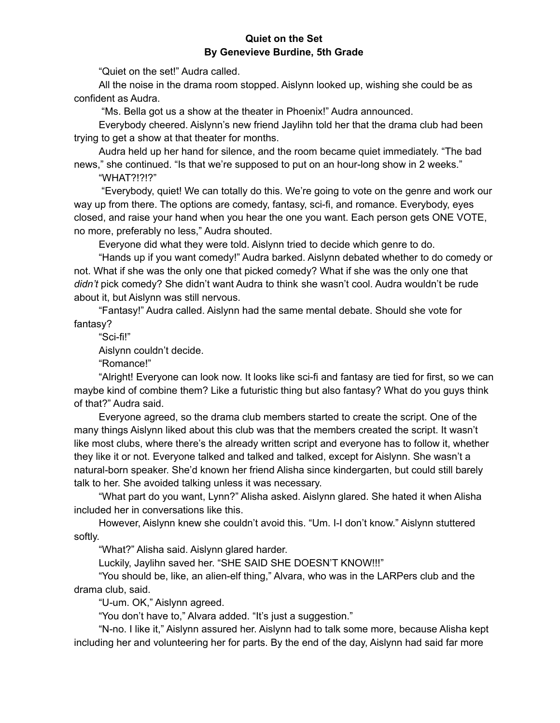## **Quiet on the Set By Genevieve Burdine, 5th Grade**

"Quiet on the set!" Audra called.

All the noise in the drama room stopped. Aislynn looked up, wishing she could be as confident as Audra.

"Ms. Bella got us a show at the theater in Phoenix!" Audra announced.

Everybody cheered. Aislynn's new friend Jaylihn told her that the drama club had been trying to get a show at that theater for months.

Audra held up her hand for silence, and the room became quiet immediately. "The bad news," she continued. "Is that we're supposed to put on an hour-long show in 2 weeks."

"WHAT?!?!?"

"Everybody, quiet! We can totally do this. We're going to vote on the genre and work our way up from there. The options are comedy, fantasy, sci-fi, and romance. Everybody, eyes closed, and raise your hand when you hear the one you want. Each person gets ONE VOTE, no more, preferably no less," Audra shouted.

Everyone did what they were told. Aislynn tried to decide which genre to do.

"Hands up if you want comedy!" Audra barked. Aislynn debated whether to do comedy or not. What if she was the only one that picked comedy? What if she was the only one that *didn't* pick comedy? She didn't want Audra to think she wasn't cool. Audra wouldn't be rude about it, but Aislynn was still nervous.

"Fantasy!" Audra called. Aislynn had the same mental debate. Should she vote for fantasy?

"Sci-fi!"

Aislynn couldn't decide.

"Romance!"

"Alright! Everyone can look now. It looks like sci-fi and fantasy are tied for first, so we can maybe kind of combine them? Like a futuristic thing but also fantasy? What do you guys think of that?" Audra said.

Everyone agreed, so the drama club members started to create the script. One of the many things Aislynn liked about this club was that the members created the script. It wasn't like most clubs, where there's the already written script and everyone has to follow it, whether they like it or not. Everyone talked and talked and talked, except for Aislynn. She wasn't a natural-born speaker. She'd known her friend Alisha since kindergarten, but could still barely talk to her. She avoided talking unless it was necessary.

"What part do you want, Lynn?" Alisha asked. Aislynn glared. She hated it when Alisha included her in conversations like this.

However, Aislynn knew she couldn't avoid this. "Um. I-I don't know." Aislynn stuttered softly.

"What?" Alisha said. Aislynn glared harder.

Luckily, Jaylihn saved her. "SHE SAID SHE DOESN'T KNOW!!!"

"You should be, like, an alien-elf thing," Alvara, who was in the LARPers club and the drama club, said.

"U-um. OK," Aislynn agreed.

"You don't have to," Alvara added. "It's just a suggestion."

"N-no. I like it," Aislynn assured her. Aislynn had to talk some more, because Alisha kept including her and volunteering her for parts. By the end of the day, Aislynn had said far more